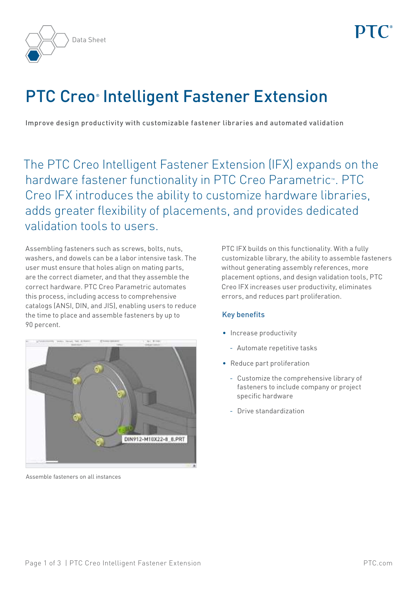

# **PTC Creo<sup>®</sup> Intelligent Fastener Extension**

Improve design productivity with customizable fastener libraries and automated validation

The PTC Creo Intelligent Fastener Extension (IFX) expands on the hardware fastener functionality in PTC Creo Parametric™. PTC Creo IFX introduces the ability to customize hardware libraries, adds greater flexibility of placements, and provides dedicated validation tools to users.

Assembling fasteners such as screws, bolts, nuts, washers, and dowels can be a labor intensive task. The user must ensure that holes align on mating parts, are the correct diameter, and that they assemble the correct hardware. PTC Creo Parametric automates this process, including access to comprehensive catalogs (ANSI, DIN, and JIS), enabling users to reduce the time to place and assemble fasteners by up to 90 percent.



Assemble fasteners on all instances

PTC IFX builds on this functionality. With a fully customizable library, the ability to assemble fasteners without generating assembly references, more placement options, and design validation tools, PTC Creo IFX increases user productivity, eliminates errors, and reduces part proliferation.

# Key benefits

- Increase productivity
	- Automate repetitive tasks
- Reduce part proliferation
	- Customize the comprehensive library of fasteners to include company or project specific hardware
	- Drive standardization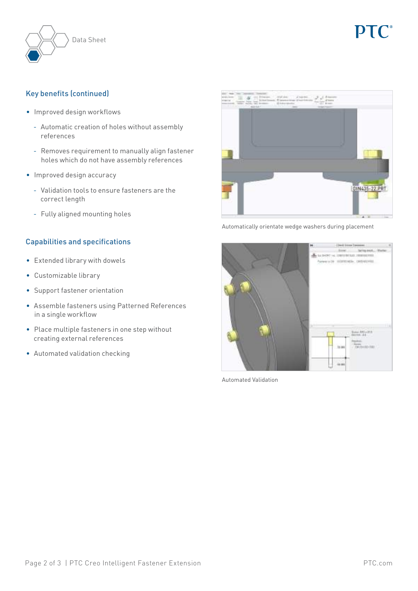

# Key benefits (continued)

- Improved design workflows
	- Automatic creation of holes without assembly references
	- Removes requirement to manually align fastener holes which do not have assembly references
- Improved design accuracy
	- Validation tools to ensure fasteners are the correct length
	- Fully aligned mounting holes

# Capabilities and specifications

- Extended library with dowels
- Customizable library
- Support fastener orientation
- Assemble fasteners using Patterned References in a single workflow
- Place multiple fasteners in one step without creating external references
- Automated validation checking



Automatically orientate wedge washers during placement



Automated Validation